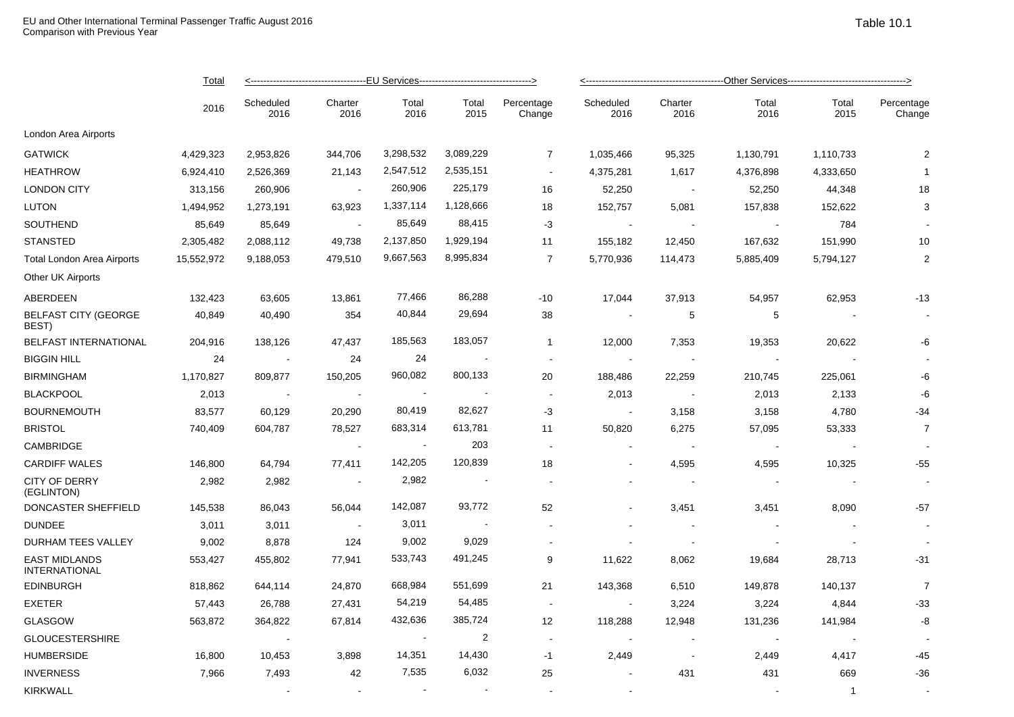|                                              | Total<br>2016 |                   |                          |                          |                          |                          |                          |                          |                |               |                      |  |
|----------------------------------------------|---------------|-------------------|--------------------------|--------------------------|--------------------------|--------------------------|--------------------------|--------------------------|----------------|---------------|----------------------|--|
|                                              |               | Scheduled<br>2016 | Charter<br>2016          | Total<br>2016            | Total<br>2015            | Percentage<br>Change     | Scheduled<br>2016        | Charter<br>2016          | Total<br>2016  | Total<br>2015 | Percentage<br>Change |  |
| London Area Airports                         |               |                   |                          |                          |                          |                          |                          |                          |                |               |                      |  |
| <b>GATWICK</b>                               | 4,429,323     | 2,953,826         | 344,706                  | 3,298,532                | 3,089,229                | $\overline{7}$           | 1,035,466                | 95,325                   | 1,130,791      | 1,110,733     | $\overline{2}$       |  |
| <b>HEATHROW</b>                              | 6,924,410     | 2,526,369         | 21,143                   | 2,547,512                | 2,535,151                | $\sim$                   | 4,375,281                | 1,617                    | 4,376,898      | 4,333,650     | $\overline{1}$       |  |
| <b>LONDON CITY</b>                           | 313,156       | 260,906           | $\sim$                   | 260,906                  | 225,179                  | 16                       | 52,250                   | $\sim$                   | 52,250         | 44,348        | 18                   |  |
| <b>LUTON</b>                                 | 1,494,952     | 1,273,191         | 63,923                   | 1,337,114                | 1,128,666                | 18                       | 152,757                  | 5,081                    | 157,838        | 152,622       | 3                    |  |
| SOUTHEND                                     | 85,649        | 85,649            | $\overline{\phantom{a}}$ | 85,649                   | 88,415                   | $-3$                     | $\blacksquare$           |                          |                | 784           |                      |  |
| <b>STANSTED</b>                              | 2,305,482     | 2,088,112         | 49,738                   | 2,137,850                | 1,929,194                | 11                       | 155,182                  | 12,450                   | 167,632        | 151,990       | 10                   |  |
| <b>Total London Area Airports</b>            | 15,552,972    | 9,188,053         | 479,510                  | 9,667,563                | 8,995,834                | $\overline{7}$           | 5,770,936                | 114,473                  | 5,885,409      | 5,794,127     | $\overline{2}$       |  |
| Other UK Airports                            |               |                   |                          |                          |                          |                          |                          |                          |                |               |                      |  |
| ABERDEEN                                     | 132,423       | 63,605            | 13,861                   | 77,466                   | 86,288                   | -10                      | 17,044                   | 37,913                   | 54,957         | 62,953        | $-13$                |  |
| <b>BELFAST CITY (GEORGE</b><br>BEST)         | 40,849        | 40,490            | 354                      | 40,844                   | 29,694                   | 38                       |                          | 5                        | 5              |               |                      |  |
| BELFAST INTERNATIONAL                        | 204,916       | 138,126           | 47,437                   | 185,563                  | 183,057                  | $\mathbf{1}$             | 12,000                   | 7,353                    | 19,353         | 20,622        | -6                   |  |
| <b>BIGGIN HILL</b>                           | 24            | $\sim$            | 24                       | 24                       | $\sim$                   | $\overline{\phantom{a}}$ | $\sim$                   |                          | $\sim$         |               |                      |  |
| <b>BIRMINGHAM</b>                            | 1,170,827     | 809,877           | 150,205                  | 960,082                  | 800,133                  | 20                       | 188,486                  | 22,259                   | 210,745        | 225,061       | -6                   |  |
| <b>BLACKPOOL</b>                             | 2,013         | $\sim 100$        | $\sim$                   | $\sim$                   | $\overline{\phantom{a}}$ | $\blacksquare$           | 2,013                    | $\sim$ $\pm$             | 2,013          | 2,133         | -6                   |  |
| <b>BOURNEMOUTH</b>                           | 83,577        | 60,129            | 20,290                   | 80,419                   | 82,627                   | -3                       |                          | 3,158                    | 3,158          | 4,780         | $-34$                |  |
| <b>BRISTOL</b>                               | 740,409       | 604,787           | 78,527                   | 683,314                  | 613,781                  | 11                       | 50,820                   | 6,275                    | 57,095         | 53,333        | $\overline{7}$       |  |
| CAMBRIDGE                                    |               |                   |                          | $\overline{\phantom{a}}$ | 203                      |                          |                          |                          |                |               |                      |  |
| <b>CARDIFF WALES</b>                         | 146,800       | 64,794            | 77,411                   | 142,205                  | 120,839                  | 18                       | $\overline{\phantom{a}}$ | 4,595                    | 4,595          | 10,325        | $-55$                |  |
| <b>CITY OF DERRY</b><br>(EGLINTON)           | 2,982         | 2,982             | $\blacksquare$           | 2,982                    | $\sim$                   |                          |                          | $\sim$                   |                |               |                      |  |
| DONCASTER SHEFFIELD                          | 145,538       | 86,043            | 56,044                   | 142,087                  | 93,772                   | 52                       |                          | 3,451                    | 3,451          | 8,090         | -57                  |  |
| <b>DUNDEE</b>                                | 3,011         | 3,011             | $\sim$                   | 3,011                    | $\overline{\phantom{a}}$ |                          |                          | $\overline{\phantom{a}}$ |                |               |                      |  |
| DURHAM TEES VALLEY                           | 9,002         | 8,878             | 124                      | 9,002                    | 9,029                    |                          |                          |                          |                |               |                      |  |
| <b>EAST MIDLANDS</b><br><b>INTERNATIONAL</b> | 553,427       | 455,802           | 77,941                   | 533,743                  | 491,245                  | 9                        | 11,622                   | 8,062                    | 19,684         | 28,713        | $-31$                |  |
| EDINBURGH                                    | 818,862       | 644,114           | 24,870                   | 668,984                  | 551,699                  | 21                       | 143,368                  | 6,510                    | 149,878        | 140,137       | $\overline{7}$       |  |
| <b>EXETER</b>                                | 57,443        | 26,788            | 27,431                   | 54,219                   | 54,485                   | $\overline{\phantom{a}}$ |                          | 3,224                    | 3,224          | 4,844         | $-33$                |  |
| <b>GLASGOW</b>                               | 563,872       | 364,822           | 67,814                   | 432,636                  | 385,724                  | 12                       | 118,288                  | 12,948                   | 131,236        | 141,984       | -8                   |  |
| <b>GLOUCESTERSHIRE</b>                       |               |                   |                          |                          | $\overline{2}$           | $\overline{\phantom{a}}$ |                          |                          | $\blacksquare$ |               |                      |  |
| <b>HUMBERSIDE</b>                            | 16,800        | 10,453            | 3,898                    | 14,351                   | 14,430                   | $-1$                     | 2,449                    |                          | 2,449          | 4,417         | -45                  |  |

INVERNESS 7,966 7,493 42 7,535 6,032 25 - 431 431 669 -36 KIRKWALL - - - - - - - 1 -